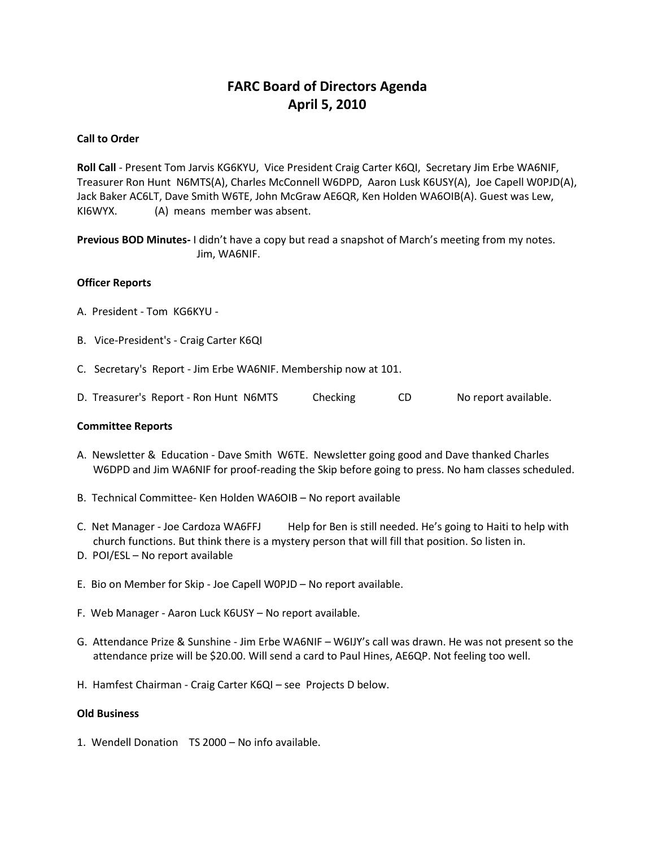# **FARC Board of Directors Agenda April 5, 2010**

# **Call to Order**

**Roll Call** - Present Tom Jarvis KG6KYU, Vice President Craig Carter K6QI, Secretary Jim Erbe WA6NIF, Treasurer Ron Hunt N6MTS(A), Charles McConnell W6DPD, Aaron Lusk K6USY(A), Joe Capell W0PJD(A), Jack Baker AC6LT, Dave Smith W6TE, John McGraw AE6QR, Ken Holden WA6OIB(A). Guest was Lew, KI6WYX. (A) means member was absent.

**Previous BOD Minutes-** I didn't have a copy but read a snapshot of March's meeting from my notes. Jim, WA6NIF.

## **Officer Reports**

- A. President Tom KG6KYU -
- B. Vice-President's Craig Carter K6QI
- C. Secretary's Report Jim Erbe WA6NIF. Membership now at 101.
- D. Treasurer's Report Ron Hunt N6MTS Checking CD No report available.

## **Committee Reports**

- A. Newsletter & Education Dave Smith W6TE. Newsletter going good and Dave thanked Charles W6DPD and Jim WA6NIF for proof-reading the Skip before going to press. No ham classes scheduled.
- B. Technical Committee- Ken Holden WA6OIB No report available
- C. Net Manager Joe Cardoza WA6FFJ Help for Ben is still needed. He's going to Haiti to help with church functions. But think there is a mystery person that will fill that position. So listen in.
- D. POI/ESL No report available
- E. Bio on Member for Skip Joe Capell W0PJD No report available.
- F. Web Manager Aaron Luck K6USY No report available.
- G. Attendance Prize & Sunshine Jim Erbe WA6NIF W6IJY's call was drawn. He was not present so the attendance prize will be \$20.00. Will send a card to Paul Hines, AE6QP. Not feeling too well.
- H. Hamfest Chairman Craig Carter K6QI see Projects D below.

## **Old Business**

1. Wendell Donation TS 2000 – No info available.